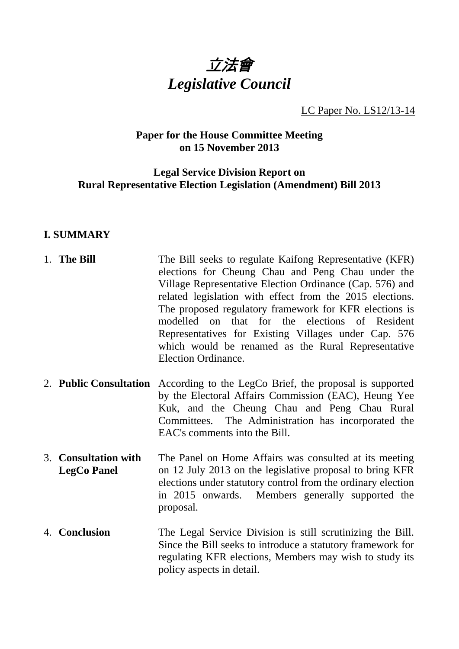

# LC Paper No. LS12/13-14

## **Paper for the House Committee Meeting on 15 November 2013**

## **Legal Service Division Report on Rural Representative Election Legislation (Amendment) Bill 2013**

# **I. SUMMARY**

| 1. The Bill                                | The Bill seeks to regulate Kaifong Representative (KFR)<br>elections for Cheung Chau and Peng Chau under the<br>Village Representative Election Ordinance (Cap. 576) and<br>related legislation with effect from the 2015 elections.<br>The proposed regulatory framework for KFR elections is<br>modelled on that for the elections of Resident<br>Representatives for Existing Villages under Cap. 576<br>which would be renamed as the Rural Representative<br>Election Ordinance. |
|--------------------------------------------|---------------------------------------------------------------------------------------------------------------------------------------------------------------------------------------------------------------------------------------------------------------------------------------------------------------------------------------------------------------------------------------------------------------------------------------------------------------------------------------|
|                                            | 2. <b>Public Consultation</b> According to the LegCo Brief, the proposal is supported<br>by the Electoral Affairs Commission (EAC), Heung Yee<br>Kuk, and the Cheung Chau and Peng Chau Rural<br>Committees. The Administration has incorporated the<br>EAC's comments into the Bill.                                                                                                                                                                                                 |
| 3. Consultation with<br><b>LegCo Panel</b> | The Panel on Home Affairs was consulted at its meeting<br>on 12 July 2013 on the legislative proposal to bring KFR<br>elections under statutory control from the ordinary election<br>in 2015 onwards. Members generally supported the<br>proposal.                                                                                                                                                                                                                                   |
| 4. Conclusion                              | The Legal Service Division is still scrutinizing the Bill.<br>Since the Bill seeks to introduce a statutory framework for<br>regulating KFR elections, Members may wish to study its<br>policy aspects in detail.                                                                                                                                                                                                                                                                     |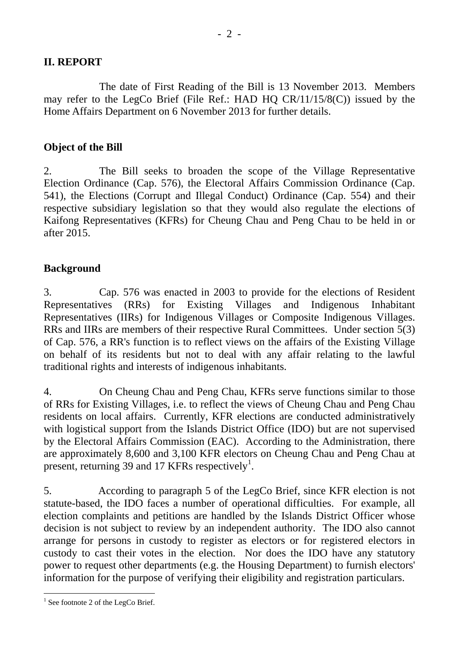## **II. REPORT**

 The date of First Reading of the Bill is 13 November 2013. Members may refer to the LegCo Brief (File Ref.: HAD HQ CR/11/15/8(C)) issued by the Home Affairs Department on 6 November 2013 for further details.

#### **Object of the Bill**

2. The Bill seeks to broaden the scope of the Village Representative Election Ordinance (Cap. 576), the Electoral Affairs Commission Ordinance (Cap. 541), the Elections (Corrupt and Illegal Conduct) Ordinance (Cap. 554) and their respective subsidiary legislation so that they would also regulate the elections of Kaifong Representatives (KFRs) for Cheung Chau and Peng Chau to be held in or after 2015.

## **Background**

3. Cap. 576 was enacted in 2003 to provide for the elections of Resident Representatives (RRs) for Existing Villages and Indigenous Inhabitant Representatives (IIRs) for Indigenous Villages or Composite Indigenous Villages. RRs and IIRs are members of their respective Rural Committees. Under section 5(3) of Cap. 576, a RR's function is to reflect views on the affairs of the Existing Village on behalf of its residents but not to deal with any affair relating to the lawful traditional rights and interests of indigenous inhabitants.

4. On Cheung Chau and Peng Chau, KFRs serve functions similar to those of RRs for Existing Villages, i.e. to reflect the views of Cheung Chau and Peng Chau residents on local affairs. Currently, KFR elections are conducted administratively with logistical support from the Islands District Office (IDO) but are not supervised by the Electoral Affairs Commission (EAC). According to the Administration, there are approximately 8,600 and 3,100 KFR electors on Cheung Chau and Peng Chau at present, returning 39 and 17 KFRs respectively<sup>1</sup>.

5. According to paragraph 5 of the LegCo Brief, since KFR election is not statute-based, the IDO faces a number of operational difficulties. For example, all election complaints and petitions are handled by the Islands District Officer whose decision is not subject to review by an independent authority. The IDO also cannot arrange for persons in custody to register as electors or for registered electors in custody to cast their votes in the election. Nor does the IDO have any statutory power to request other departments (e.g. the Housing Department) to furnish electors' information for the purpose of verifying their eligibility and registration particulars.

l  $<sup>1</sup>$  See footnote 2 of the LegCo Brief.</sup>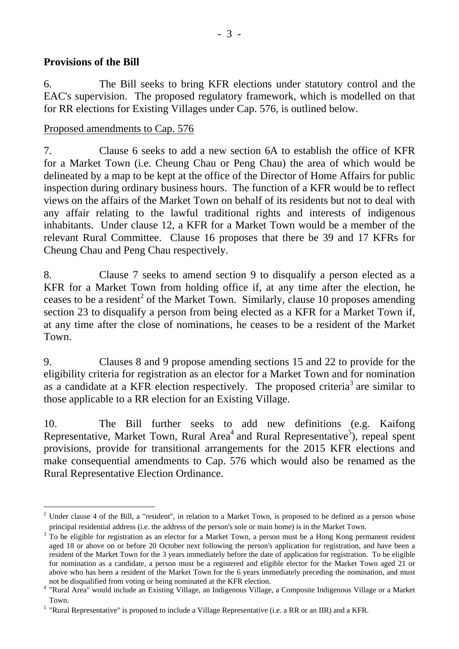## **Provisions of the Bill**

 $\overline{a}$ 

6. The Bill seeks to bring KFR elections under statutory control and the EAC's supervision. The proposed regulatory framework, which is modelled on that for RR elections for Existing Villages under Cap. 576, is outlined below.

#### Proposed amendments to Cap. 576

7. Clause 6 seeks to add a new section 6A to establish the office of KFR for a Market Town (i.e. Cheung Chau or Peng Chau) the area of which would be delineated by a map to be kept at the office of the Director of Home Affairs for public inspection during ordinary business hours. The function of a KFR would be to reflect views on the affairs of the Market Town on behalf of its residents but not to deal with any affair relating to the lawful traditional rights and interests of indigenous inhabitants. Under clause 12, a KFR for a Market Town would be a member of the relevant Rural Committee. Clause 16 proposes that there be 39 and 17 KFRs for Cheung Chau and Peng Chau respectively.

8. Clause 7 seeks to amend section 9 to disqualify a person elected as a KFR for a Market Town from holding office if, at any time after the election, he ceases to be a resident<sup>2</sup> of the Market Town. Similarly, clause 10 proposes amending section 23 to disqualify a person from being elected as a KFR for a Market Town if, at any time after the close of nominations, he ceases to be a resident of the Market Town.

9. Clauses 8 and 9 propose amending sections 15 and 22 to provide for the eligibility criteria for registration as an elector for a Market Town and for nomination as a candidate at a KFR election respectively. The proposed criteria<sup>3</sup> are similar to those applicable to a RR election for an Existing Village.

10. The Bill further seeks to add new definitions (e.g. Kaifong Representative, Market Town, Rural Area<sup>4</sup> and Rural Representative<sup>5</sup>), repeal spent provisions, provide for transitional arrangements for the 2015 KFR elections and make consequential amendments to Cap. 576 which would also be renamed as the Rural Representative Election Ordinance.

 $2$  Under clause 4 of the Bill, a "resident", in relation to a Market Town, is proposed to be defined as a person whose principal residential address (i.e. the address of the person's sole or main home) is in the Market Town.

 $3$  To be eligible for registration as an elector for a Market Town, a person must be a Hong Kong permanent resident aged 18 or above on or before 20 October next following the person's application for registration, and have been a resident of the Market Town for the 3 years immediately before the date of application for registration. To be eligible for nomination as a candidate, a person must be a registered and eligible elector for the Market Town aged 21 or above who has been a resident of the Market Town for the 6 years immediately preceding the nomination, and must<br>not be disqualified from voting or being nominated at the KFR election.

not be disqualified from voting or being nominated at the KFR election.<br><sup>4</sup> "Rural Area" would include an Existing Village, an Indigenous Village, a Composite Indigenous Village or a Market Town.

 $<sup>5</sup>$  "Rural Representative" is proposed to include a Village Representative (i.e. a RR or an IIR) and a KFR.</sup>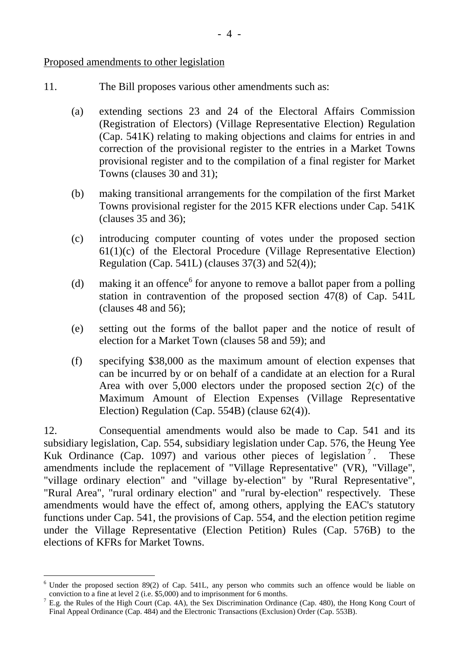#### Proposed amendments to other legislation

- 11. The Bill proposes various other amendments such as:
	- (a) extending sections 23 and 24 of the Electoral Affairs Commission (Registration of Electors) (Village Representative Election) Regulation (Cap. 541K) relating to making objections and claims for entries in and correction of the provisional register to the entries in a Market Towns provisional register and to the compilation of a final register for Market Towns (clauses 30 and 31);
	- (b) making transitional arrangements for the compilation of the first Market Towns provisional register for the 2015 KFR elections under Cap. 541K (clauses 35 and 36);
	- (c) introducing computer counting of votes under the proposed section  $61(1)(c)$  of the Electoral Procedure (Village Representative Election) Regulation (Cap. 541L) (clauses 37(3) and 52(4));
	- (d) making it an offence<sup>6</sup> for anyone to remove a ballot paper from a polling station in contravention of the proposed section 47(8) of Cap. 541L (clauses 48 and 56);
	- (e) setting out the forms of the ballot paper and the notice of result of election for a Market Town (clauses 58 and 59); and
	- (f) specifying \$38,000 as the maximum amount of election expenses that can be incurred by or on behalf of a candidate at an election for a Rural Area with over 5,000 electors under the proposed section 2(c) of the Maximum Amount of Election Expenses (Village Representative Election) Regulation (Cap. 554B) (clause 62(4)).

12. Consequential amendments would also be made to Cap. 541 and its subsidiary legislation, Cap. 554, subsidiary legislation under Cap. 576, the Heung Yee Kuk Ordinance (Cap. 1097) and various other pieces of legislation<sup>7</sup>. These amendments include the replacement of "Village Representative" (VR), "Village", "village ordinary election" and "village by-election" by "Rural Representative", "Rural Area", "rural ordinary election" and "rural by-election" respectively. These amendments would have the effect of, among others, applying the EAC's statutory functions under Cap. 541, the provisions of Cap. 554, and the election petition regime under the Village Representative (Election Petition) Rules (Cap. 576B) to the elections of KFRs for Market Towns.

<sup>&</sup>lt;sup>6</sup> Under the proposed section 89(2) of Cap. 541L, any person who commits such an offence would be liable on conviction to a fine at level 2 (i.e.  $$5,000$ ) and to imprisonment for 6 months.

 $^7$  E.g. the Rules of the High Court (Cap. 4A), the Sex Discrimination Ordinance (Cap. 480), the Hong Kong Court of Final Appeal Ordinance (Cap. 484) and the Electronic Transactions (Exclusion) Order (Cap. 553B).